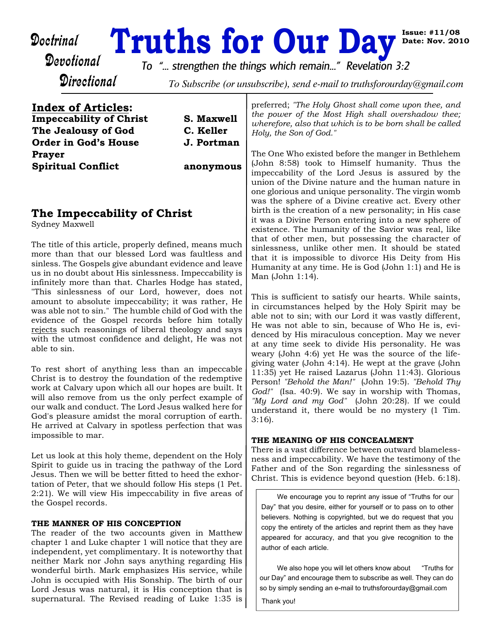# **Doctrinal Truths for Our Day**<br>Devotional To " strengthen the things which remain..." Revelation 3

**Directional** 

*To "... strengthen the things which remain..." Revelation 3:2*

To Subscribe (or unsubscribe), send e-mail to truthsforourday@gmail.com

**Index of Articles: Impeccability of Christ S. Maxwell The Jealousy of God C. Keller Order in God's House J. Portman Prayer Spiritual Conflict anonymous**

# **The Impeccability of Christ**

Sydney Maxwell

The title of this article, properly defined, means much more than that our blessed Lord was faultless and sinless. The Gospels give abundant evidence and leave us in no doubt about His sinlessness. Impeccability is infinitely more than that. Charles Hodge has stated, "This sinlessness of our Lord, however, does not amount to absolute impeccability; it was rather, He was able not to sin." The humble child of God with the evidence of the Gospel records before him totally rejects such reasonings of liberal theology and says with the utmost confidence and delight, He was not able to sin.

To rest short of anything less than an impeccable Christ is to destroy the foundation of the redemptive work at Calvary upon which all our hopes are built. It will also remove from us the only perfect example of our walk and conduct. The Lord Jesus walked here for God's pleasure amidst the moral corruption of earth. He arrived at Calvary in spotless perfection that was impossible to mar.

Let us look at this holy theme, dependent on the Holy Spirit to guide us in tracing the pathway of the Lord Jesus. Then we will be better fitted to heed the exhortation of Peter, that we should follow His steps (1 Pet. 2:21). We will view His impeccability in five areas of the Gospel records.

## **THE MANNER OF HIS CONCEPTION**

The reader of the two accounts given in Matthew chapter 1 and Luke chapter 1 will notice that they are independent, yet complimentary. It is noteworthy that neither Mark nor John says anything regarding His wonderful birth. Mark emphasizes His service, while John is occupied with His Sonship. The birth of our Lord Jesus was natural, it is His conception that is supernatural. The Revised reading of Luke 1:35 is preferred; *"The Holy Ghost shall come upon thee, and the power of the Most High shall overshadow thee; wherefore, also that which is to be born shall be called Holy, the Son of God."*

**Issue: #11/08 Date: Nov. 2010**

The One Who existed before the manger in Bethlehem (John 8:58) took to Himself humanity. Thus the impeccability of the Lord Jesus is assured by the union of the Divine nature and the human nature in one glorious and unique personality. The virgin womb was the sphere of a Divine creative act. Every other birth is the creation of a new personality; in His case it was a Divine Person entering into a new sphere of existence. The humanity of the Savior was real, like that of other men, but possessing the character of sinlessness, unlike other men. It should be stated that it is impossible to divorce His Deity from His Humanity at any time. He is God (John 1:1) and He is Man (John 1:14).

This is sufficient to satisfy our hearts. While saints, in circumstances helped by the Holy Spirit may be able not to sin; with our Lord it was vastly different, He was not able to sin, because of Who He is, evidenced by His miraculous conception. May we never at any time seek to divide His personality. He was weary (John 4:6) yet He was the source of the lifegiving water (John 4:14). He wept at the grave (John 11:35) yet He raised Lazarus (John 11:43). Glorious Person! *"Behold the Man!"* (John 19:5). *"Behold Thy God!"* (Isa. 40:9). We say in worship with Thomas, *"My Lord and my God"* (John 20:28). If we could understand it, there would be no mystery (1 Tim. 3:16).

# **THE MEANING OF HIS CONCEALMENT**

There is a vast difference between outward blamelessness and impeccability. We have the testimony of the Father and of the Son regarding the sinlessness of Christ. This is evidence beyond question (Heb. 6:18).

We encourage you to reprint any issue of "Truths for our Day" that you desire, either for yourself or to pass on to other believers. Nothing is copyrighted, but we do request that you copy the entirety of the articles and reprint them as they have appeared for accuracy, and that you give recognition to the author of each article.

We also hope you will let others know about "Truths for our Day" and encourage them to subscribe as well. They can do so by simply sending an e-mail to truthsforourday@gmail.com

Thank you!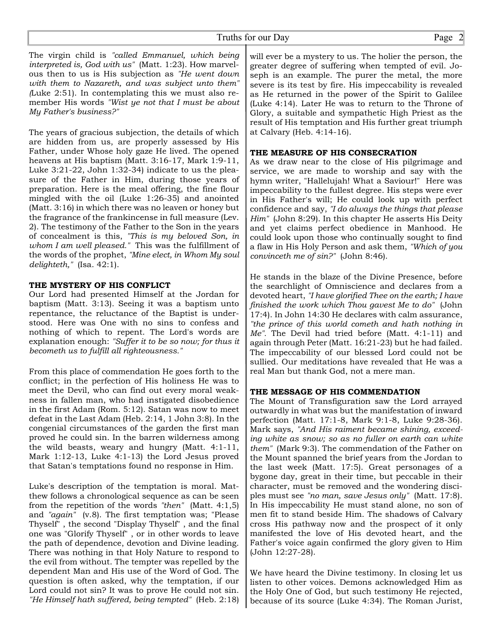The virgin child is *"called Emmanuel, which being interpreted is, God with us"* (Matt. 1:23). How marvelous then to us is His subjection as *"He went down with them to Nazareth, and was subject unto them" (*Luke 2:51). In contemplating this we must also remember His words *"Wist ye not that I must be about My Father's business?"*

The years of gracious subjection, the details of which are hidden from us, are properly assessed by His Father, under Whose holy gaze He lived. The opened heavens at His baptism (Matt. 3:16-17, Mark 1:9-11, Luke 3:21-22, John 1:32-34) indicate to us the pleasure of the Father in Him, during those years of preparation. Here is the meal offering, the fine flour mingled with the oil (Luke 1:26-35) and anointed (Matt. 3:16) in which there was no leaven or honey but the fragrance of the frankincense in full measure (Lev. 2). The testimony of the Father to the Son in the years of concealment is this, *"This is my beloved Son, in whom I am well pleased."* This was the fulfillment of the words of the prophet, *"Mine elect, in Whom My soul delighteth,"* (Isa. 42:1).

#### **THE MYSTERY OF HIS CONFLICT**

Our Lord had presented Himself at the Jordan for baptism (Matt. 3:13). Seeing it was a baptism unto repentance, the reluctance of the Baptist is understood. Here was One with no sins to confess and nothing of which to repent. The Lord's words are explanation enough: *"Suffer it to be so now; for thus it becometh us to fulfill all righteousness."*

From this place of commendation He goes forth to the conflict; in the perfection of His holiness He was to meet the Devil, who can find out every moral weakness in fallen man, who had instigated disobedience in the first Adam (Rom. 5:12). Satan was now to meet defeat in the Last Adam (Heb. 2:14, 1 John 3:8). In the congenial circumstances of the garden the first man proved he could sin. In the barren wilderness among the wild beasts, weary and hungry (Matt. 4:1-11, Mark 1:12-13, Luke 4:1-13) the Lord Jesus proved that Satan's temptations found no response in Him.

Luke's description of the temptation is moral. Matthew follows a chronological sequence as can be seen from the repetition of the words *"then"* (Matt. 4:1,5) and *"again"* (v.8). The first temptation was; "Please Thyself" , the second "Display Thyself" , and the final one was "Glorify Thyself" , or in other words to leave the path of dependence, devotion and Divine leading. There was nothing in that Holy Nature to respond to the evil from without. The tempter was repelled by the dependent Man and His use of the Word of God. The question is often asked, why the temptation, if our Lord could not sin? It was to prove He could not sin. *"He Himself hath suffered, being tempted"* (Heb. 2:18)

will ever be a mystery to us. The holier the person, the greater degree of suffering when tempted of evil. Joseph is an example. The purer the metal, the more severe is its test by fire. His impeccability is revealed as He returned in the power of the Spirit to Galilee (Luke 4:14). Later He was to return to the Throne of Glory, a suitable and sympathetic High Priest as the result of His temptation and His further great triumph at Calvary (Heb. 4:14-16).

#### **THE MEASURE OF HIS CONSECRATION**

As we draw near to the close of His pilgrimage and service, we are made to worship and say with the hymn writer, "Hallelujah! What a Saviour!" Here was impeccability to the fullest degree. His steps were ever in His Father's will; He could look up with perfect confidence and say, *"I do always the things that please Him"* (John 8:29). In this chapter He asserts His Deity and yet claims perfect obedience in Manhood. He could look upon those who continually sought to find a flaw in His Holy Person and ask them, *"Which of you convinceth me of sin?"* (John 8:46).

He stands in the blaze of the Divine Presence, before the searchlight of Omniscience and declares from a devoted heart, *"I have glorified Thee on the earth; I have finished the work which Thou gavest Me to do"* (John 17:4). In John 14:30 He declares with calm assurance, *"the prince of this world cometh and hath nothing in Me".* The Devil had tried before (Matt. 4:1-11) and again through Peter (Matt. 16:21-23) but he had failed. The impeccability of our blessed Lord could not be sullied. Our meditations have revealed that He was a real Man but thank God, not a mere man.

#### **THE MESSAGE OF HIS COMMENDATION**

The Mount of Transfiguration saw the Lord arrayed outwardly in what was but the manifestation of inward perfection (Matt. 17:1-8, Mark 9:1-8, Luke 9:28-36). Mark says, *"And His raiment became shining, exceeding white as snow; so as no fuller on earth can white them"* (Mark 9:3). The commendation of the Father on the Mount spanned the brief years from the Jordan to the last week (Matt. 17:5). Great personages of a bygone day, great in their time, but peccable in their character, must be removed and the wondering disciples must see *"no man, save Jesus only"* (Matt. 17:8). In His impeccability He must stand alone, no son of men fit to stand beside Him. The shadows of Calvary cross His pathway now and the prospect of it only manifested the love of His devoted heart, and the Father's voice again confirmed the glory given to Him (John 12:27-28).

We have heard the Divine testimony. In closing let us listen to other voices. Demons acknowledged Him as the Holy One of God, but such testimony He rejected, because of its source (Luke 4:34). The Roman Jurist,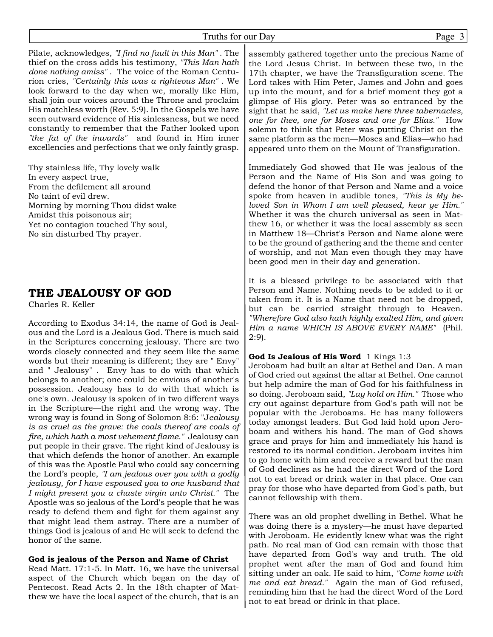Pilate, acknowledges, *"I find no fault in this Man"* . The thief on the cross adds his testimony, *"This Man hath done nothing amiss"* . The voice of the Roman Centurion cries, *"Certainly this was a righteous Man"* . We look forward to the day when we, morally like Him, shall join our voices around the Throne and proclaim His matchless worth (Rev. 5:9). In the Gospels we have seen outward evidence of His sinlessness, but we need constantly to remember that the Father looked upon *"the fat of the inwards"* and found in Him inner excellencies and perfections that we only faintly grasp.

Thy stainless life, Thy lovely walk In every aspect true, From the defilement all around No taint of evil drew. Morning by morning Thou didst wake Amidst this poisonous air; Yet no contagion touched Thy soul, No sin disturbed Thy prayer.

# **THE JEALOUSY OF GOD**

Charles R. Keller

According to Exodus 34:14, the name of God is Jealous and the Lord is a Jealous God. There is much said in the Scriptures concerning jealousy. There are two words closely connected and they seem like the same words but their meaning is different; they are " Envy" and " Jealousy" . Envy has to do with that which belongs to another; one could be envious of another's possession. Jealousy has to do with that which is one's own. Jealousy is spoken of in two different ways in the Scripture—the right and the wrong way. The wrong way is found in Song of Solomon 8:6: "J*ealousy is as cruel as the grave: the coals thereof are coals of fire, which hath a most vehement flame."* Jealousy can put people in their grave. The right kind of Jealousy is that which defends the honor of another. An example of this was the Apostle Paul who could say concerning the Lord's people, *"I am jealous over you with a godly jealousy, for I have espoused you to one husband that I might present you a chaste virgin unto Christ."* The Apostle was so jealous of the Lord's people that he was ready to defend them and fight for them against any that might lead them astray. There are a number of things God is jealous of and He will seek to defend the honor of the same.

# **God is jealous of the Person and Name of Christ**

Read Matt. 17:1-5. In Matt. 16, we have the universal aspect of the Church which began on the day of Pentecost. Read Acts 2. In the 18th chapter of Matthew we have the local aspect of the church, that is an

assembly gathered together unto the precious Name of the Lord Jesus Christ. In between these two, in the 17th chapter, we have the Transfiguration scene. The Lord takes with Him Peter, James and John and goes up into the mount, and for a brief moment they got a glimpse of His glory. Peter was so entranced by the sight that he said, *"Let us make here three tabernacles, one for thee, one for Moses and one for Elias."* How solemn to think that Peter was putting Christ on the same platform as the men—Moses and Elias—who had appeared unto them on the Mount of Transfiguration.

Immediately God showed that He was jealous of the Person and the Name of His Son and was going to defend the honor of that Person and Name and a voice spoke from heaven in audible tones, *"This is My beloved Son in Whom I am well pleased, hear ye Him."* Whether it was the church universal as seen in Matthew 16, or whether it was the local assembly as seen in Matthew 18—Christ's Person and Name alone were to be the ground of gathering and the theme and center of worship, and not Man even though they may have been good men in their day and generation.

It is a blessed privilege to be associated with that Person and Name. Nothing needs to be added to it or taken from it. It is a Name that need not be dropped, but can be carried straight through to Heaven. *"Wherefore God also hath highly exalted Him, and given Him a name WHICH IS ABOVE EVERY NAME"* (Phil. 2:9).

#### **God Is Jealous of His Word** 1 Kings 1:3

Jeroboam had built an altar at Bethel and Dan. A man of God cried out against the altar at Bethel. One cannot but help admire the man of God for his faithfulness in so doing. Jeroboam said, *"Lay hold on Him."* Those who cry out against departure from God's path will not be popular with the Jeroboams. He has many followers today amongst leaders. But God laid hold upon Jeroboam and withers his hand. The man of God shows grace and prays for him and immediately his hand is restored to its normal condition. Jeroboam invites him to go home with him and receive a reward but the man of God declines as he had the direct Word of the Lord not to eat bread or drink water in that place. One can pray for those who have departed from God's path, but cannot fellowship with them.

There was an old prophet dwelling in Bethel. What he was doing there is a mystery—he must have departed with Jeroboam. He evidently knew what was the right path. No real man of God can remain with those that have departed from God's way and truth. The old prophet went after the man of God and found him sitting under an oak. He said to him, *"Come home with me and eat bread."* Again the man of God refused, reminding him that he had the direct Word of the Lord not to eat bread or drink in that place.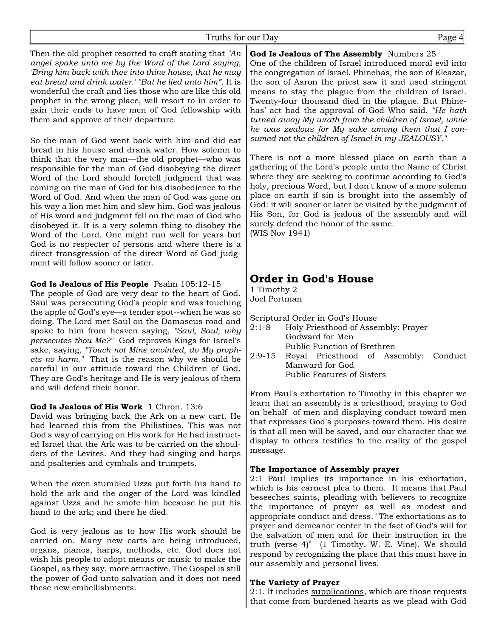# Truths for our Day Page 4

Then the old prophet resorted to craft stating that *"An angel spake unto me by the Word of the Lord saying, 'Bring him back with thee into thine house, that he may eat bread and drink water.' "But he lied unto him"*. It is wonderful the craft and lies those who are like this old prophet in the wrong place, will resort to in order to gain their ends to have men of God fellowship with them and approve of their departure.

So the man of God went back with him and did eat bread in his house and drank water. How solemn to think that the very man—the old prophet—who was responsible for the man of God disobeying the direct Word of the Lord should foretell judgment that was coming on the man of God for his disobedience to the Word of God. And when the man of God was gone on his way a lion met him and slew him. God was jealous of His word and judgment fell on the man of God who disobeyed it. It is a very solemn thing to disobey the Word of the Lord. One might run well for years but God is no respecter of persons and where there is a direct transgression of the direct Word of God judgment will follow sooner or later.

**God Is Jealous of His People** Psalm 105:12-15

The people of God are very dear to the heart of God. Saul was persecuting God's people and was touching the apple of God's eye—a tender spot--when he was so doing. The Lord met Saul on the Damascus road and spoke to him from heaven saying, *"Saul, Saul, why persecutes thou Me?"* God reproves Kings for Israel's sake, saying, *"Touch not Mine anointed, do My prophets no harm."* That is the reason why we should be careful in our attitude toward the Children of God. They are God's heritage and He is very jealous of them and will defend their honor.

God Is Jealous of His Work 1 Chron. 13:6

David was bringing back the Ark on a new cart. He had learned this from the Philistines. This was not God's way of carrying on His work for He had instructed Israel that the Ark was to be carried on the shoulders of the Levites. And they had singing and harps and psalteries and cymbals and trumpets.

When the oxen stumbled Uzza put forth his hand to hold the ark and the anger of the Lord was kindled against Uzza and he smote him because he put his hand to the ark; and there he died.

God is very jealous as to how His work should be carried on. Many new carts are being introduced, organs, pianos, harps, methods, etc. God does not wish his people to adopt means or music to make the Gospel, as they say, more attractive. The Gospel is still the power of God unto salvation and it does not need these new embellishments.

**God Is Jealous of The Assembly** Numbers 25 One of the children of Israel introduced moral evil into the congregation of Israel. Phinehas, the son of Eleazar, the son of Aaron the priest saw it and used stringent means to stay the plague from the children of Israel. Twenty-four thousand died in the plague. But Phinehas' act had the approval of God Who said, *"He hath turned away My wrath from the children of Israel, while he was zealous for My sake among them that I consumed not the children of Israel in my JEALOUSY."*

There is not a more blessed place on earth than a gathering of the Lord's people unto the Name of Christ where they are seeking to continue according to God's holy, precious Word, but I don't know of a more solemn place on earth if sin is brought into the assembly of God: it will sooner or later be visited by the judgment of His Son, for God is jealous of the assembly and will surely defend the honor of the same.

(WIS Nov 1941)

# **Order in God's House**

1 Timothy 2 Joel Portman

Scriptural Order in God's House

- 2:1-8 Holy Priesthood of Assembly: Prayer Godward for Men Public Function of Brethren
- 2:9-15 Royal Priesthood of Assembly: Conduct Manward for God Public Features of Sisters

From Paul's exhortation to Timothy in this chapter we learn that an assembly is a priesthood, praying to God on behalf of men and displaying conduct toward men that expresses God's purposes toward them. His desire is that all men will be saved, and our character that we display to others testifies to the reality of the gospel message.

## **The Importance of Assembly prayer**

2:1 Paul implies its importance in his exhortation, which is his earnest plea to them. It means that Paul beseeches saints, pleading with believers to recognize the importance of prayer as well as modest and appropriate conduct and dress. "The exhortations as to prayer and demeanor center in the fact of God's will for the salvation of men and for their instruction in the truth (verse 4)" (1 Timothy, W. E. Vine). We should respond by recognizing the place that this must have in our assembly and personal lives.

## **The Variety of Prayer**

2:1. It includes supplications, which are those requests that come from burdened hearts as we plead with God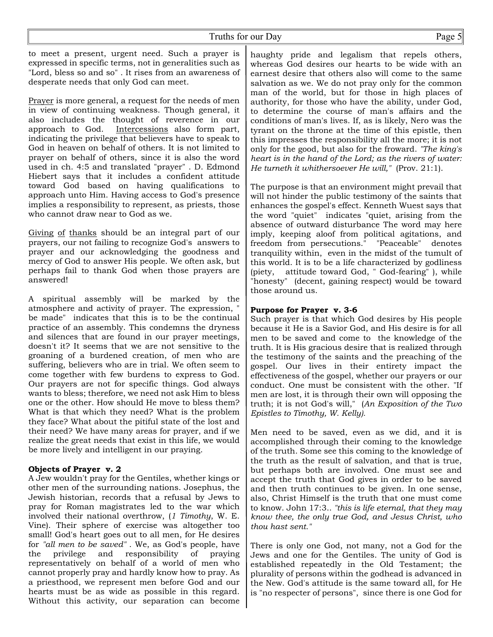to meet a present, urgent need. Such a prayer is expressed in specific terms, not in generalities such as "Lord, bless so and so" . It rises from an awareness of desperate needs that only God can meet.

Prayer is more general, a request for the needs of men in view of continuing weakness. Though general, it also includes the thought of reverence in our approach to God. Intercessions also form part, indicating the privilege that believers have to speak to God in heaven on behalf of others. It is not limited to prayer on behalf of others, since it is also the word used in ch. 4:5 and translated "prayer" . D. Edmond Hiebert says that it includes a confident attitude toward God based on having qualifications to approach unto Him. Having access to God's presence implies a responsibility to represent, as priests, those who cannot draw near to God as we.

Giving of thanks should be an integral part of our prayers, our not failing to recognize God's answers to prayer and our acknowledging the goodness and mercy of God to answer His people. We often ask, but perhaps fail to thank God when those prayers are answered!

A spiritual assembly will be marked by the atmosphere and activity of prayer. The expression, " be made" indicates that this is to be the continual practice of an assembly. This condemns the dryness and silences that are found in our prayer meetings, doesn't it? It seems that we are not sensitive to the groaning of a burdened creation, of men who are suffering, believers who are in trial. We often seem to come together with few burdens to express to God. Our prayers are not for specific things. God always wants to bless; therefore, we need not ask Him to bless one or the other. How should He move to bless them? What is that which they need? What is the problem they face? What about the pitiful state of the lost and their need? We have many areas for prayer, and if we realize the great needs that exist in this life, we would be more lively and intelligent in our praying.

# **Objects of Prayer v. 2**

A Jew wouldn't pray for the Gentiles, whether kings or other men of the surrounding nations. Josephus, the Jewish historian, records that a refusal by Jews to pray for Roman magistrates led to the war which involved their national overthrow, (*1 Timothy*, W. E. Vine). Their sphere of exercise was altogether too small! God's heart goes out to all men, for He desires for *"all men to be saved"* . We, as God's people, have the privilege and responsibility of praying representatively on behalf of a world of men who cannot properly pray and hardly know how to pray. As a priesthood, we represent men before God and our hearts must be as wide as possible in this regard. Without this activity, our separation can become haughty pride and legalism that repels others, whereas God desires our hearts to be wide with an earnest desire that others also will come to the same salvation as we. We do not pray only for the common man of the world, but for those in high places of authority, for those who have the ability, under God, to determine the course of man's affairs and the conditions of man's lives. If, as is likely, Nero was the tyrant on the throne at the time of this epistle, then this impresses the responsibility all the more; it is not only for the good, but also for the froward. *"The king's heart is in the hand of the Lord; as the rivers of water: He turneth it whithersoever He will,"* (Prov. 21:1).

The purpose is that an environment might prevail that will not hinder the public testimony of the saints that enhances the gospel's effect. Kenneth Wuest says that the word "quiet" indicates "quiet, arising from the absence of outward disturbance The word may here imply, keeping aloof from political agitations, and freedom from persecutions." "Peaceable" denotes tranquility within, even in the midst of the tumult of this world. It is to be a life characterized by godliness (piety, attitude toward God, " God-fearing" ), while "honesty" (decent, gaining respect) would be toward those around us.

## **Purpose for Prayer v. 3-6**

Such prayer is that which God desires by His people because it He is a Savior God, and His desire is for all men to be saved and come to the knowledge of the truth. It is His gracious desire that is realized through the testimony of the saints and the preaching of the gospel. Our lives in their entirety impact the effectiveness of the gospel, whether our prayers or our conduct. One must be consistent with the other. "If men are lost, it is through their own will opposing the truth; it is not God's will," (*An Exposition of the Two Epistles to Timothy, W. Kelly).*

Men need to be saved, even as we did, and it is accomplished through their coming to the knowledge of the truth. Some see this coming to the knowledge of the truth as the result of salvation, and that is true, but perhaps both are involved. One must see and accept the truth that God gives in order to be saved and then truth continues to be given. In one sense, also, Christ Himself is the truth that one must come to know. John 17:3.. *"this is life eternal, that they may know thee, the only true God, and Jesus Christ, who thou hast sent."*

There is only one God, not many, not a God for the Jews and one for the Gentiles. The unity of God is established repeatedly in the Old Testament; the plurality of persons within the godhead is advanced in the New. God's attitude is the same toward all, for He is "no respecter of persons", since there is one God for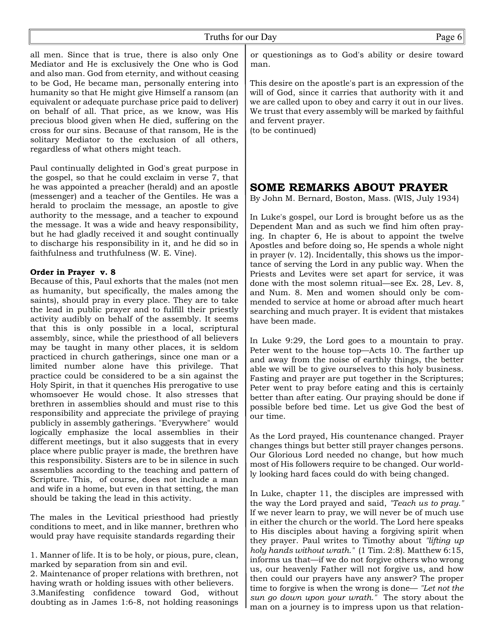all men. Since that is true, there is also only One Mediator and He is exclusively the One who is God and also man. God from eternity, and without ceasing to be God, He became man, personally entering into humanity so that He might give Himself a ransom (an equivalent or adequate purchase price paid to deliver) on behalf of all. That price, as we know, was His precious blood given when He died, suffering on the cross for our sins. Because of that ransom, He is the solitary Mediator to the exclusion of all others, regardless of what others might teach.

Paul continually delighted in God's great purpose in the gospel, so that he could exclaim in verse 7, that he was appointed a preacher (herald) and an apostle (messenger) and a teacher of the Gentiles. He was a herald to proclaim the message, an apostle to give authority to the message, and a teacher to expound the message. It was a wide and heavy responsibility, but he had gladly received it and sought continually to discharge his responsibility in it, and he did so in faithfulness and truthfulness (W. E. Vine).

#### **Order in Prayer v. 8**

Because of this, Paul exhorts that the males (not men as humanity, but specifically, the males among the saints), should pray in every place. They are to take the lead in public prayer and to fulfill their priestly activity audibly on behalf of the assembly. It seems that this is only possible in a local, scriptural assembly, since, while the priesthood of all believers may be taught in many other places, it is seldom practiced in church gatherings, since one man or a limited number alone have this privilege. That practice could be considered to be a sin against the Holy Spirit, in that it quenches His prerogative to use whomsoever He would chose. It also stresses that brethren in assemblies should and must rise to this responsibility and appreciate the privilege of praying publicly in assembly gatherings. "Everywhere" would logically emphasize the local assemblies in their different meetings, but it also suggests that in every place where public prayer is made, the brethren have this responsibility. Sisters are to be in silence in such assemblies according to the teaching and pattern of Scripture. This, of course, does not include a man and wife in a home, but even in that setting, the man should be taking the lead in this activity.

The males in the Levitical priesthood had priestly conditions to meet, and in like manner, brethren who would pray have requisite standards regarding their

1. Manner of life. It is to be holy, or pious, pure, clean, marked by separation from sin and evil.

2. Maintenance of proper relations with brethren, not having wrath or holding issues with other believers. 3.Manifesting confidence toward God, without doubting as in James 1:6-8, not holding reasonings or questionings as to God's ability or desire toward man.

This desire on the apostle's part is an expression of the will of God, since it carries that authority with it and we are called upon to obey and carry it out in our lives. We trust that every assembly will be marked by faithful and fervent prayer.

(to be continued)

# **SOME REMARKS ABOUT PRAYER**

By John M. Bernard, Boston, Mass. (WIS, July 1934)

In Luke's gospel, our Lord is brought before us as the Dependent Man and as such we find him often praying. In chapter 6, He is about to appoint the twelve Apostles and before doing so, He spends a whole night in prayer (v. 12). Incidentally, this shows us the importance of serving the Lord in any public way. When the Priests and Levites were set apart for service, it was done with the most solemn ritual—see Ex. 28, Lev. 8, and Num. 8. Men and women should only be commended to service at home or abroad after much heart searching and much prayer. It is evident that mistakes have been made.

In Luke 9:29, the Lord goes to a mountain to pray. Peter went to the house top—Acts 10. The farther up and away from the noise of earthly things, the better able we will be to give ourselves to this holy business. Fasting and prayer are put together in the Scriptures; Peter went to pray before eating and this is certainly better than after eating. Our praying should be done if possible before bed time. Let us give God the best of our time.

As the Lord prayed, His countenance changed. Prayer changes things but better still prayer changes persons. Our Glorious Lord needed no change, but how much most of His followers require to be changed. Our worldly looking hard faces could do with being changed.

In Luke, chapter 11, the disciples are impressed with the way the Lord prayed and said, *"Teach us to pray."* If we never learn to pray, we will never be of much use in either the church or the world. The Lord here speaks to His disciples about having a forgiving spirit when they prayer. Paul writes to Timothy about *"lifting up holy hands without wrath."* (1 Tim. 2:8). Matthew 6:15, informs us that—if we do not forgive others who wrong us, our heavenly Father will not forgive us, and how then could our prayers have any answer? The proper time to forgive is when the wrong is done— *"Let not the sun go down upon your wrath."* The story about the man on a journey is to impress upon us that relation-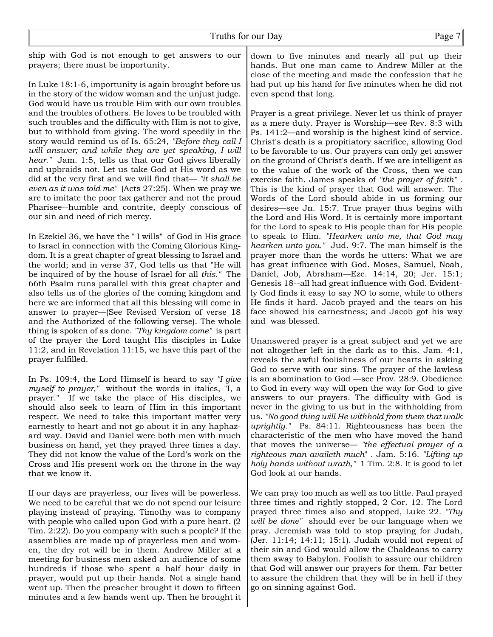ship with God is not enough to get answers to our prayers; there must be importunity.

In Luke 18:1-6, importunity is again brought before us in the story of the widow woman and the unjust judge. God would have us trouble Him with our own troubles and the troubles of others. He loves to be troubled with such troubles and the difficulty with Him is not to give, but to withhold from giving. The word speedily in the story would remind us of Is. 65:24, *"Before they call I will answer; and while they are yet speaking, I will hear."* Jam. 1:5, tells us that our God gives liberally and upbraids not. Let us take God at His word as we did at the very first and we will find that— *"it shall be even as it was told me"* (Acts 27:25). When we pray we are to imitate the poor tax gatherer and not the proud Pharisee--humble and contrite, deeply conscious of our sin and need of rich mercy.

In Ezekiel 36, we have the " I wills" of God in His grace to Israel in connection with the Coming Glorious Kingdom. It is a great chapter of great blessing to Israel and the world; and in verse 37, God tells us that "He will be inquired of by the house of Israel for all *this."* The 66th Psalm runs parallel with this great chapter and also tells us of the glories of the coming kingdom and here we are informed that all this blessing will come in answer to prayer—(See Revised Version of verse 18 and the Authorized of the following verse). The whole thing is spoken of as done. *"Thy kingdom come"* is part of the prayer the Lord taught His disciples in Luke 11:2, and in Revelation 11:15, we have this part of the prayer fulfilled.

In Ps. 109:4, the Lord Himself is heard to say *"I give myself to prayer,"* without the words in italics, "I, a prayer." If we take the place of His disciples, we should also seek to learn of Him in this important respect. We need to take this important matter very earnestly to heart and not go about it in any haphazard way. David and Daniel were both men with much business on hand, yet they prayed three times a day. They did not know the value of the Lord's work on the Cross and His present work on the throne in the way that we know it.

If our days are prayerless, our lives will be powerless. We need to be careful that we do not spend our leisure playing instead of praying. Timothy was to company with people who called upon God with a pure heart. (2 Tim. 2:22). Do you company with such a people? If the assemblies are made up of prayerless men and women, the dry rot will be in them. Andrew Miller at a meeting for business men asked an audience of some hundreds if those who spent a half hour daily in prayer, would put up their hands. Not a single hand went up. Then the preacher brought it down to fifteen minutes and a few hands went up. Then he brought it

down to five minutes and nearly all put up their hands. But one man came to Andrew Miller at the close of the meeting and made the confession that he had put up his hand for five minutes when he did not even spend that long.

Prayer is a great privilege. Never let us think of prayer as a mere duty. Prayer is Worship—see Rev. 8:3 with Ps. 141:2—and worship is the highest kind of service. Christ's death is a propitiatory sacrifice, allowing God to be favorable to us. Our prayers can only get answer on the ground of Christ's death. If we are intelligent as to the value of the work of the Cross, then we can exercise faith. James speaks of *"the prayer of faith"* . This is the kind of prayer that God will answer. The Words of the Lord should abide in us forming our desires—see Jn. 15:7. True prayer thus begins with the Lord and His Word. It is certainly more important for the Lord to speak to His people than for His people to speak to Him. *"Hearken unto me, that God may hearken unto you."* Jud. 9:7. The man himself is the prayer more than the words he utters: What we are has great influence with God. Moses, Samuel, Noah, Daniel, Job, Abraham—Eze. 14:14, 20; Jer. 15:1; Genesis 18--all had great influence with God. Evidently God finds it easy to say NO to some, while to others He finds it hard. Jacob prayed and the tears on his face showed his earnestness; and Jacob got his way and was blessed.

Unanswered prayer is a great subject and yet we are not altogether left in the dark as to this. Jam. 4:1, reveals the awful foolishness of our hearts in asking God to serve with our sins. The prayer of the lawless is an abomination to God —see Prov. 28:9. Obedience to God in every way will open the way for God to give answers to our prayers. The difficulty with God is never in the giving to us but in the withholding from us. *"No good thing will He withhold from them that walk uprightly."* Ps. 84:11. Righteousness has been the characteristic of the men who have moved the hand that moves the universe— *"the effectual prayer of a righteous man availeth much*" . Jam. 5:16. *"Lifting up holy hands without wrath,"* 1 Tim. 2:8. It is good to let God look at our hands.

We can pray too much as well as too little. Paul prayed three times and rightly stopped, 2 Cor. 12. The Lord prayed three times also and stopped, Luke 22*. "Thy will be done"* should ever be our language when we pray. Jeremiah was told to stop praying for Judah, (Jer. 11:14; 14:11; 15:1). Judah would not repent of their sin and God would allow the Chaldeans to carry them away to Babylon. Foolish to assure our children that God will answer our prayers for them. Far better to assure the children that they will be in hell if they go on sinning against God.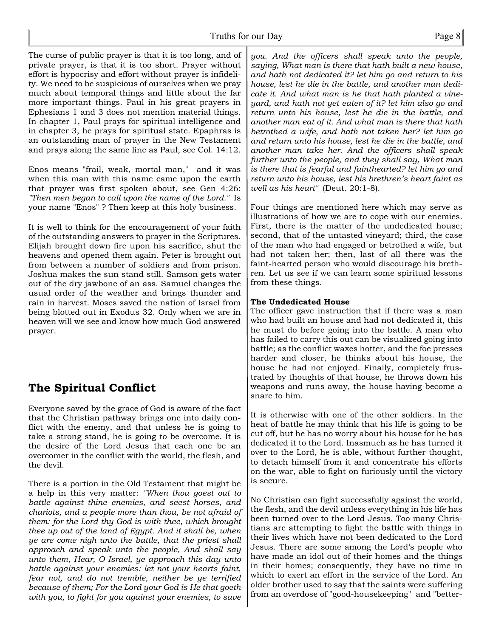The curse of public prayer is that it is too long, and of private prayer, is that it is too short. Prayer without effort is hypocrisy and effort without prayer is infidelity. We need to be suspicious of ourselves when we pray much about temporal things and little about the far more important things. Paul in his great prayers in Ephesians 1 and 3 does not mention material things. In chapter 1, Paul prays for spiritual intelligence and in chapter 3, he prays for spiritual state. Epaphras is an outstanding man of prayer in the New Testament and prays along the same line as Paul, see Col. 14:12.

Enos means "frail, weak, mortal man," and it was when this man with this name came upon the earth that prayer was first spoken about, see Gen 4:26: *"Then men began to call upon the name of the Lord."* Is your name "Enos" ? Then keep at this holy business.

It is well to think for the encouragement of your faith of the outstanding answers to prayer in the Scriptures. Elijah brought down fire upon his sacrifice, shut the heavens and opened them again. Peter is brought out from between a number of soldiers and from prison. Joshua makes the sun stand still. Samson gets water out of the dry jawbone of an ass. Samuel changes the usual order of the weather and brings thunder and rain in harvest. Moses saved the nation of Israel from being blotted out in Exodus 32. Only when we are in heaven will we see and know how much God answered prayer.

# **The Spiritual Conflict**

Everyone saved by the grace of God is aware of the fact that the Christian pathway brings one into daily conflict with the enemy, and that unless he is going to take a strong stand, he is going to be overcome. It is the desire of the Lord Jesus that each one be an overcomer in the conflict with the world, the flesh, and the devil.

There is a portion in the Old Testament that might be a help in this very matter: *"When thou goest out to battle against thine enemies, and seest horses, and chariots, and a people more than thou, be not afraid of them: for the Lord thy God is with thee, which brought thee up out of the land of Egypt. And it shall be, when ye are come nigh unto the battle, that the priest shall approach and speak unto the people, And shall say unto them, Hear, O Israel, ye approach this day unto battle against your enemies: let not your hearts faint, fear not, and do not tremble, neither be ye terrified because of them; For the Lord your God is He that goeth with you, to fight for you against your enemies, to save*

*you. And the officers shall speak unto the people, saying, What man is there that hath built a new house, and hath not dedicated it? let him go and return to his house, lest he die in the battle, and another man dedicate it. And what man is he that hath planted a vineyard, and hath not yet eaten of it? let him also go and return unto his house, lest he die in the battle, and another man eat of it. And what man is there that hath betrothed a wife, and hath not taken her? let him go and return unto his house, lest he die in the battle, and another man take her. And the officers shall speak further unto the people, and they shall say, What man is there that is fearful and fainthearted? let him go and return unto his house, lest his brethren's heart faint as well as his heart"* (Deut. 20:1-8).

Four things are mentioned here which may serve as illustrations of how we are to cope with our enemies. First, there is the matter of the undedicated house; second, that of the untasted vineyard; third, the case of the man who had engaged or betrothed a wife, but had not taken her; then, last of all there was the faint-hearted person who would discourage his brethren. Let us see if we can learn some spiritual lessons from these things.

## **The Undedicated House**

The officer gave instruction that if there was a man who had built an house and had not dedicated it, this he must do before going into the battle. A man who has failed to carry this out can be visualized going into battle; as the conflict waxes hotter, and the foe presses harder and closer, he thinks about his house, the house he had not enjoyed. Finally, completely frustrated by thoughts of that house, he throws down his weapons and runs away, the house having become a snare to him.

It is otherwise with one of the other soldiers. In the heat of battle he may think that his life is going to be cut off, but he has no worry about his house for he has dedicated it to the Lord. Inasmuch as he has turned it over to the Lord, he is able, without further thought, to detach himself from it and concentrate his efforts on the war, able to fight on furiously until the victory is secure.

No Christian can fight successfully against the world, the flesh, and the devil unless everything in his life has been turned over to the Lord Jesus. Too many Christians are attempting to fight the battle with things in their lives which have not been dedicated to the Lord Jesus. There are some among the Lord's people who have made an idol out of their homes and the things in their homes; consequently, they have no time in which to exert an effort in the service of the Lord. An older brother used to say that the saints were suffering from an overdose of "good-housekeeping" and "better